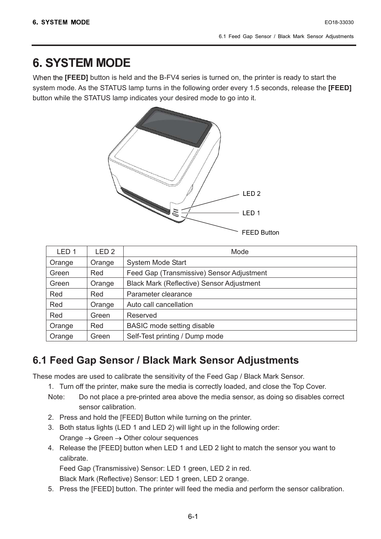# **6. SYSTEM MODE**

When the **[FEED]** button is held and the B-FV4 series is turned on, the printer is ready to start the system mode. As the STATUS lamp turns in the following order every 1.5 seconds, release the **[FEED]** button while the STATUS lamp indicates your desired mode to go into it.



| LED <sub>1</sub> | LED <sub>2</sub> | Mode                                             |
|------------------|------------------|--------------------------------------------------|
| Orange           | Orange           | <b>System Mode Start</b>                         |
| Green            | Red              | Feed Gap (Transmissive) Sensor Adjustment        |
| Green            | Orange           | <b>Black Mark (Reflective) Sensor Adjustment</b> |
| Red              | Red              | Parameter clearance                              |
| Red              | Orange           | Auto call cancellation                           |
| Red              | Green            | Reserved                                         |
| Orange           | Red              | <b>BASIC</b> mode setting disable                |
| Orange           | Green            | Self-Test printing / Dump mode                   |

## **6.1 Feed Gap Sensor / Black Mark Sensor Adjustments**

These modes are used to calibrate the sensitivity of the Feed Gap / Black Mark Sensor.

- 1. Turn off the printer, make sure the media is correctly loaded, and close the Top Cover.
- Note: Do not place a pre-printed area above the media sensor, as doing so disables correct sensor calibration.
- 2. Press and hold the [FEED] Button while turning on the printer.
- 3. Both status lights (LED 1 and LED 2) will light up in the following order: Orange  $\rightarrow$  Green  $\rightarrow$  Other colour sequences
- 4. Release the [FEED] button when LED 1 and LED 2 light to match the sensor you want to calibrate.

Feed Gap (Transmissive) Sensor: LED 1 green, LED 2 in red.

Black Mark (Reflective) Sensor: LED 1 green, LED 2 orange.

5. Press the [FEED] button. The printer will feed the media and perform the sensor calibration.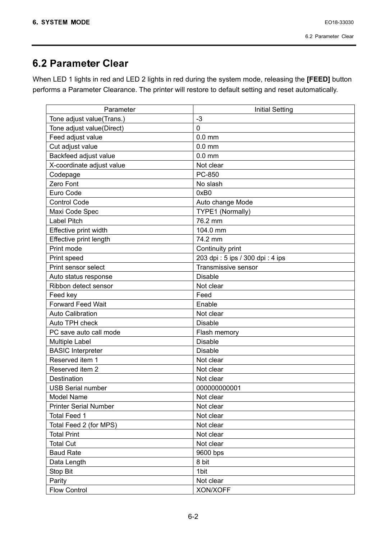# 6.2 Parameter Clear

When LED 1 lights in red and LED 2 lights in red during the system mode, releasing the **[FEED]** button performs a Parameter Clearance. The printer will restore to default setting and reset automatically.

| Parameter                    | <b>Initial Setting</b>          |
|------------------------------|---------------------------------|
| Tone adjust value(Trans.)    | $-3$                            |
| Tone adjust value(Direct)    | $\overline{0}$                  |
| Feed adjust value            | $0.0$ mm                        |
| Cut adjust value             | $0.0$ mm                        |
| Backfeed adjust value        | $0.0$ mm                        |
| X-coordinate adjust value    | Not clear                       |
| Codepage                     | PC-850                          |
| Zero Font                    | No slash                        |
| Euro Code                    | 0xB0                            |
| <b>Control Code</b>          | Auto change Mode                |
| Maxi Code Spec               | TYPE1 (Normally)                |
| <b>Label Pitch</b>           | 76.2 mm                         |
| Effective print width        | 104.0 mm                        |
| Effective print length       | 74.2 mm                         |
| Print mode                   | Continuity print                |
| Print speed                  | 203 dpi: 5 ips / 300 dpi: 4 ips |
| Print sensor select          | Transmissive sensor             |
| Auto status response         | <b>Disable</b>                  |
| Ribbon detect sensor         | Not clear                       |
| Feed key                     | Feed                            |
| <b>Forward Feed Wait</b>     | Enable                          |
| <b>Auto Calibration</b>      | Not clear                       |
| Auto TPH check               | Disable                         |
| PC save auto call mode       | Flash memory                    |
| <b>Multiple Label</b>        | <b>Disable</b>                  |
| <b>BASIC</b> Interpreter     | <b>Disable</b>                  |
| Reserved item 1              | Not clear                       |
| Reserved item 2              | Not clear                       |
| Destination                  | Not clear                       |
| <b>USB Serial number</b>     | 000000000001                    |
| <b>Model Name</b>            | Not clear                       |
| <b>Printer Serial Number</b> | Not clear                       |
| <b>Total Feed 1</b>          | Not clear                       |
| Total Feed 2 (for MPS)       | Not clear                       |
| <b>Total Print</b>           | Not clear                       |
| <b>Total Cut</b>             | Not clear                       |
| <b>Baud Rate</b>             | 9600 bps                        |
| Data Length                  | 8 bit                           |
| Stop Bit                     | 1bit                            |
| Parity                       | Not clear                       |
| <b>Flow Control</b>          | XON/XOFF                        |